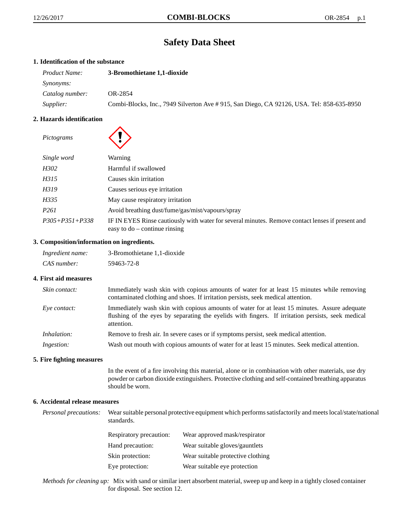# **Safety Data Sheet**

# **1. Identification of the substance**

| <i>Product Name:</i> | 3-Bromothietane 1,1-dioxide                                                               |  |
|----------------------|-------------------------------------------------------------------------------------------|--|
| <i>Synonyms:</i>     |                                                                                           |  |
| Catalog number:      | OR-2854                                                                                   |  |
| Supplier:            | Combi-Blocks, Inc., 7949 Silverton Ave # 915, San Diego, CA 92126, USA. Tel: 858-635-8950 |  |

# **2. Hazards identification**

*Pictograms*

| Single word          | Warning                                                                                                                             |
|----------------------|-------------------------------------------------------------------------------------------------------------------------------------|
| H302                 | Harmful if swallowed                                                                                                                |
| H315                 | Causes skin irritation                                                                                                              |
| H319                 | Causes serious eye irritation                                                                                                       |
| H335                 | May cause respiratory irritation                                                                                                    |
| P <sub>261</sub>     | Avoid breathing dust/fume/gas/mist/vapours/spray                                                                                    |
| $P305 + P351 + P338$ | IF IN EYES Rinse cautiously with water for several minutes. Remove contact lenses if present and<br>easy to $do$ – continue rinsing |

# **3. Composition/information on ingredients.**

| Ingredient name: | 3-Bromothietane 1.1-dioxide |
|------------------|-----------------------------|
| CAS number:      | 59463-72-8                  |

# **4. First aid measures**

| Skin contact:      | Immediately wash skin with copious amounts of water for at least 15 minutes while removing<br>contaminated clothing and shoes. If irritation persists, seek medical attention.                                  |  |
|--------------------|-----------------------------------------------------------------------------------------------------------------------------------------------------------------------------------------------------------------|--|
| Eye contact:       | Immediately wash skin with copious amounts of water for at least 15 minutes. Assure adequate<br>flushing of the eyes by separating the eyelids with fingers. If irritation persists, seek medical<br>attention. |  |
| <i>Inhalation:</i> | Remove to fresh air. In severe cases or if symptoms persist, seek medical attention.                                                                                                                            |  |
| Ingestion:         | Wash out mouth with copious amounts of water for at least 15 minutes. Seek medical attention.                                                                                                                   |  |

#### **5. Fire fighting measures**

In the event of a fire involving this material, alone or in combination with other materials, use dry powder or carbon dioxide extinguishers. Protective clothing and self-contained breathing apparatus should be worn.

## **6. Accidental release measures**

*Personal precautions:* Wear suitable personal protective equipment which performs satisfactorily and meets local/state/national standards.

| <b>Respiratory precaution:</b> | Wear approved mask/respirator     |
|--------------------------------|-----------------------------------|
| Hand precaution:               | Wear suitable gloves/gauntlets    |
| Skin protection:               | Wear suitable protective clothing |
| Eye protection:                | Wear suitable eye protection      |

*Methods for cleaning up:* Mix with sand or similar inert absorbent material, sweep up and keep in a tightly closed container for disposal. See section 12.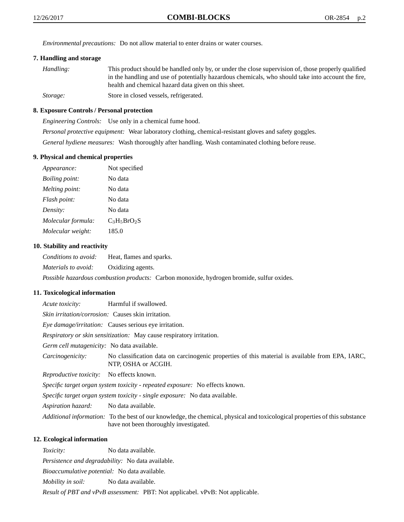*Environmental precautions:* Do not allow material to enter drains or water courses.

# **7. Handling and storage**

| Handling: | This product should be handled only by, or under the close supervision of, those properly qualified |
|-----------|-----------------------------------------------------------------------------------------------------|
|           | in the handling and use of potentially hazardous chemicals, who should take into account the fire,  |
|           | health and chemical hazard data given on this sheet.                                                |
| Storage:  | Store in closed vessels, refrigerated.                                                              |

#### **8. Exposure Controls / Personal protection**

*Engineering Controls:* Use only in a chemical fume hood. *Personal protective equipment:* Wear laboratory clothing, chemical-resistant gloves and safety goggles. *General hydiene measures:* Wash thoroughly after handling. Wash contaminated clothing before reuse.

#### **9. Physical and chemical properties**

| Appearance:           | Not specified  |
|-----------------------|----------------|
| <i>Boiling point:</i> | No data        |
| Melting point:        | No data        |
| Flash point:          | No data        |
| Density:              | No data        |
| Molecular formula:    | $C_3H_5BrO_2S$ |
| Molecular weight:     | 185.0          |

# **10. Stability and reactivity**

| Conditions to avoid: | Heat, flames and sparks. |
|----------------------|--------------------------|
| Materials to avoid:  | Oxidizing agents.        |

*Possible hazardous combustion products:* Carbon monoxide, hydrogen bromide, sulfur oxides.

# **11. Toxicological information**

*Acute toxicity:* Harmful if swallowed.

*Skin irritation/corrosion:* Causes skin irritation.

*Eye damage/irritation:* Causes serious eye irritation.

*Respiratory or skin sensitization:* May cause respiratory irritation.

*Germ cell mutagenicity:* No data available.

*Carcinogenicity:* No classification data on carcinogenic properties of this material is available from EPA, IARC, NTP, OSHA or ACGIH.

*Reproductive toxicity:* No effects known.

*Specific target organ system toxicity - repeated exposure:* No effects known.

*Specific target organ system toxicity - single exposure:* No data available.

*Aspiration hazard:* No data available.

*Additional information:* To the best of our knowledge, the chemical, physical and toxicological properties of this substance have not been thoroughly investigated.

# **12. Ecological information**

*Toxicity:* No data available.

*Persistence and degradability:* No data available.

*Bioaccumulative potential:* No data available.

*Mobility in soil:* No data available.

*Result of PBT and vPvB assessment:* PBT: Not applicabel. vPvB: Not applicable.